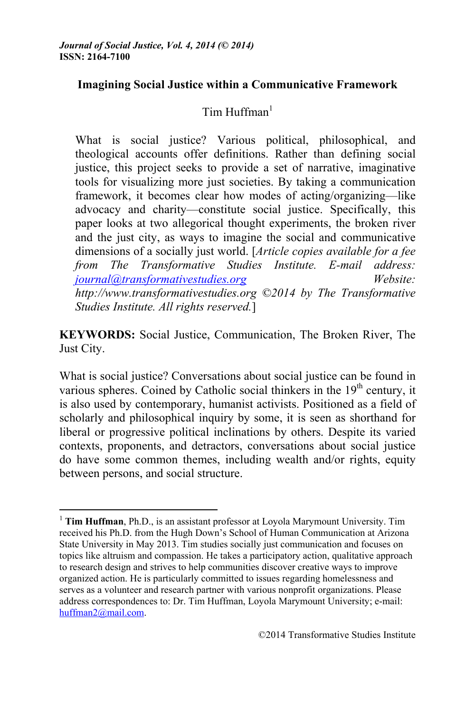# **Imagining Social Justice within a Communicative Framework**

# $Tim$  Huffman $<sup>1</sup>$ </sup>

What is social justice? Various political, philosophical, and theological accounts offer definitions. Rather than defining social justice, this project seeks to provide a set of narrative, imaginative tools for visualizing more just societies. By taking a communication framework, it becomes clear how modes of acting/organizing—like advocacy and charity—constitute social justice. Specifically, this paper looks at two allegorical thought experiments, the broken river and the just city, as ways to imagine the social and communicative dimensions of a socially just world. [*Article copies available for a fee from The Transformative Studies Institute. E-mail address: journal@transformativestudies.org Website: http://www.transformativestudies.org ©2014 by The Transformative Studies Institute. All rights reserved.*]

**KEYWORDS:** Social Justice, Communication, The Broken River, The Just City.

What is social justice? Conversations about social justice can be found in various spheres. Coined by Catholic social thinkers in the  $19<sup>th</sup>$  century, it is also used by contemporary, humanist activists. Positioned as a field of scholarly and philosophical inquiry by some, it is seen as shorthand for liberal or progressive political inclinations by others. Despite its varied contexts, proponents, and detractors, conversations about social justice do have some common themes, including wealth and/or rights, equity between persons, and social structure.

<sup>1</sup> **Tim Huffman**, Ph.D., is an assistant professor at Loyola Marymount University. Tim received his Ph.D. from the Hugh Down's School of Human Communication at Arizona State University in May 2013. Tim studies socially just communication and focuses on topics like altruism and compassion. He takes a participatory action, qualitative approach to research design and strives to help communities discover creative ways to improve organized action. He is particularly committed to issues regarding homelessness and serves as a volunteer and research partner with various nonprofit organizations. Please address correspondences to: Dr. Tim Huffman, Loyola Marymount University; e-mail: huffman2@mail.com.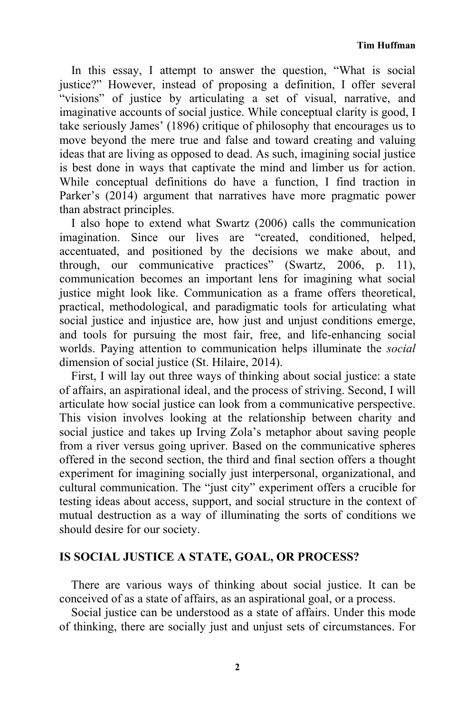In this essay, I attempt to answer the question, "What is social justice?" However, instead of proposing a definition, I offer several "visions" of justice by articulating a set of visual, narrative, and imaginative accounts of social justice. While conceptual clarity is good, I take seriously James' (1896) critique of philosophy that encourages us to move beyond the mere true and false and toward creating and valuing ideas that are living as opposed to dead. As such, imagining social justice is best done in ways that captivate the mind and limber us for action. While conceptual definitions do have a function, I find traction in Parker's (2014) argument that narratives have more pragmatic power than abstract principles.

I also hope to extend what Swartz (2006) calls the communication imagination. Since our lives are "created, conditioned, helped, accentuated, and positioned by the decisions we make about, and through, our communicative practices" (Swartz, 2006, p. 11), communication becomes an important lens for imagining what social justice might look like. Communication as a frame offers theoretical, practical, methodological, and paradigmatic tools for articulating what social justice and injustice are, how just and unjust conditions emerge, and tools for pursuing the most fair, free, and life-enhancing social worlds. Paying attention to communication helps illuminate the *social* dimension of social justice (St. Hilaire, 2014).

First, I will lay out three ways of thinking about social justice: a state of affairs, an aspirational ideal, and the process of striving. Second, I will articulate how social justice can look from a communicative perspective. This vision involves looking at the relationship between charity and social justice and takes up Irving Zola's metaphor about saving people from a river versus going upriver. Based on the communicative spheres offered in the second section, the third and final section offers a thought experiment for imagining socially just interpersonal, organizational, and cultural communication. The "just city" experiment offers a crucible for testing ideas about access, support, and social structure in the context of mutual destruction as a way of illuminating the sorts of conditions we should desire for our society.

# **IS SOCIAL JUSTICE A STATE, GOAL, OR PROCESS?**

There are various ways of thinking about social justice. It can be conceived of as a state of affairs, as an aspirational goal, or a process.

Social justice can be understood as a state of affairs. Under this mode of thinking, there are socially just and unjust sets of circumstances. For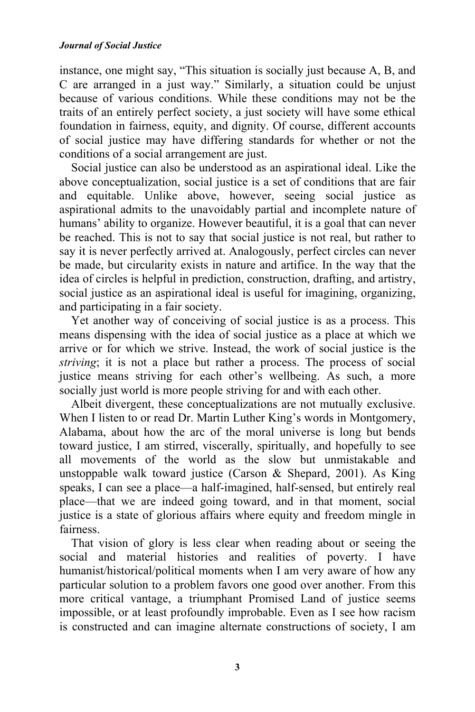instance, one might say, "This situation is socially just because A, B, and C are arranged in a just way." Similarly, a situation could be unjust because of various conditions. While these conditions may not be the traits of an entirely perfect society, a just society will have some ethical foundation in fairness, equity, and dignity. Of course, different accounts of social justice may have differing standards for whether or not the conditions of a social arrangement are just.

Social justice can also be understood as an aspirational ideal. Like the above conceptualization, social justice is a set of conditions that are fair and equitable. Unlike above, however, seeing social justice as aspirational admits to the unavoidably partial and incomplete nature of humans' ability to organize. However beautiful, it is a goal that can never be reached. This is not to say that social justice is not real, but rather to say it is never perfectly arrived at. Analogously, perfect circles can never be made, but circularity exists in nature and artifice. In the way that the idea of circles is helpful in prediction, construction, drafting, and artistry, social justice as an aspirational ideal is useful for imagining, organizing, and participating in a fair society.

Yet another way of conceiving of social justice is as a process. This means dispensing with the idea of social justice as a place at which we arrive or for which we strive. Instead, the work of social justice is the *striving*; it is not a place but rather a process. The process of social justice means striving for each other's wellbeing. As such, a more socially just world is more people striving for and with each other.

Albeit divergent, these conceptualizations are not mutually exclusive. When I listen to or read Dr. Martin Luther King's words in Montgomery, Alabama, about how the arc of the moral universe is long but bends toward justice, I am stirred, viscerally, spiritually, and hopefully to see all movements of the world as the slow but unmistakable and unstoppable walk toward justice (Carson & Shepard, 2001). As King speaks, I can see a place—a half-imagined, half-sensed, but entirely real place—that we are indeed going toward, and in that moment, social justice is a state of glorious affairs where equity and freedom mingle in fairness.

That vision of glory is less clear when reading about or seeing the social and material histories and realities of poverty. I have humanist/historical/political moments when I am very aware of how any particular solution to a problem favors one good over another. From this more critical vantage, a triumphant Promised Land of justice seems impossible, or at least profoundly improbable. Even as I see how racism is constructed and can imagine alternate constructions of society, I am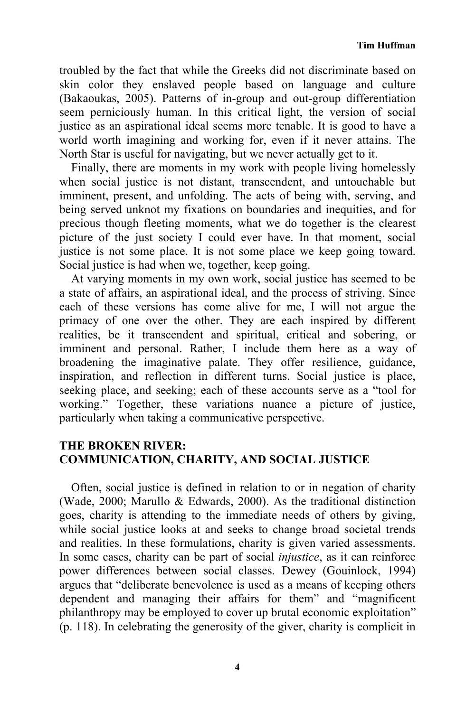troubled by the fact that while the Greeks did not discriminate based on skin color they enslaved people based on language and culture (Bakaoukas, 2005). Patterns of in-group and out-group differentiation seem perniciously human. In this critical light, the version of social justice as an aspirational ideal seems more tenable. It is good to have a world worth imagining and working for, even if it never attains. The North Star is useful for navigating, but we never actually get to it.

Finally, there are moments in my work with people living homelessly when social justice is not distant, transcendent, and untouchable but imminent, present, and unfolding. The acts of being with, serving, and being served unknot my fixations on boundaries and inequities, and for precious though fleeting moments, what we do together is the clearest picture of the just society I could ever have. In that moment, social justice is not some place. It is not some place we keep going toward. Social justice is had when we, together, keep going.

At varying moments in my own work, social justice has seemed to be a state of affairs, an aspirational ideal, and the process of striving. Since each of these versions has come alive for me, I will not argue the primacy of one over the other. They are each inspired by different realities, be it transcendent and spiritual, critical and sobering, or imminent and personal. Rather, I include them here as a way of broadening the imaginative palate. They offer resilience, guidance, inspiration, and reflection in different turns. Social justice is place, seeking place, and seeking; each of these accounts serve as a "tool for working." Together, these variations nuance a picture of justice, particularly when taking a communicative perspective.

## **THE BROKEN RIVER: COMMUNICATION, CHARITY, AND SOCIAL JUSTICE**

Often, social justice is defined in relation to or in negation of charity (Wade, 2000; Marullo & Edwards, 2000). As the traditional distinction goes, charity is attending to the immediate needs of others by giving, while social justice looks at and seeks to change broad societal trends and realities. In these formulations, charity is given varied assessments. In some cases, charity can be part of social *injustice*, as it can reinforce power differences between social classes. Dewey (Gouinlock, 1994) argues that "deliberate benevolence is used as a means of keeping others dependent and managing their affairs for them" and "magnificent philanthropy may be employed to cover up brutal economic exploitation" (p. 118). In celebrating the generosity of the giver, charity is complicit in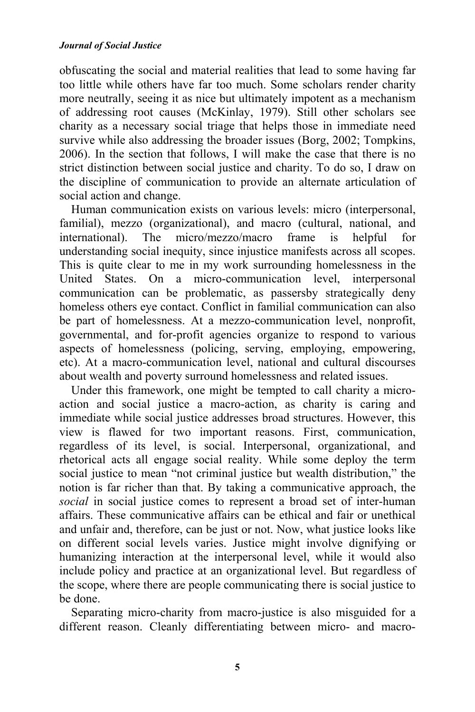#### *Journal of Social Justice*

obfuscating the social and material realities that lead to some having far too little while others have far too much. Some scholars render charity more neutrally, seeing it as nice but ultimately impotent as a mechanism of addressing root causes (McKinlay, 1979). Still other scholars see charity as a necessary social triage that helps those in immediate need survive while also addressing the broader issues (Borg, 2002; Tompkins, 2006). In the section that follows, I will make the case that there is no strict distinction between social justice and charity. To do so, I draw on the discipline of communication to provide an alternate articulation of social action and change.

Human communication exists on various levels: micro (interpersonal, familial), mezzo (organizational), and macro (cultural, national, and international). The micro/mezzo/macro frame is helpful for understanding social inequity, since injustice manifests across all scopes. This is quite clear to me in my work surrounding homelessness in the United States. On a micro-communication level, interpersonal communication can be problematic, as passersby strategically deny homeless others eye contact. Conflict in familial communication can also be part of homelessness. At a mezzo-communication level, nonprofit, governmental, and for-profit agencies organize to respond to various aspects of homelessness (policing, serving, employing, empowering, etc). At a macro-communication level, national and cultural discourses about wealth and poverty surround homelessness and related issues.

Under this framework, one might be tempted to call charity a microaction and social justice a macro-action, as charity is caring and immediate while social justice addresses broad structures. However, this view is flawed for two important reasons. First, communication, regardless of its level, is social. Interpersonal, organizational, and rhetorical acts all engage social reality. While some deploy the term social justice to mean "not criminal justice but wealth distribution," the notion is far richer than that. By taking a communicative approach, the *social* in social justice comes to represent a broad set of inter-human affairs. These communicative affairs can be ethical and fair or unethical and unfair and, therefore, can be just or not. Now, what justice looks like on different social levels varies. Justice might involve dignifying or humanizing interaction at the interpersonal level, while it would also include policy and practice at an organizational level. But regardless of the scope, where there are people communicating there is social justice to be done.

Separating micro-charity from macro-justice is also misguided for a different reason. Cleanly differentiating between micro- and macro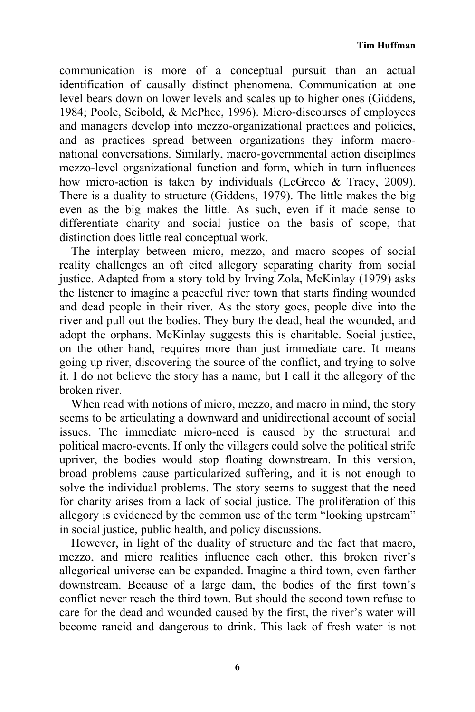communication is more of a conceptual pursuit than an actual identification of causally distinct phenomena. Communication at one level bears down on lower levels and scales up to higher ones (Giddens, 1984; Poole, Seibold, & McPhee, 1996). Micro-discourses of employees and managers develop into mezzo-organizational practices and policies, and as practices spread between organizations they inform macronational conversations. Similarly, macro-governmental action disciplines mezzo-level organizational function and form, which in turn influences how micro-action is taken by individuals (LeGreco & Tracy, 2009). There is a duality to structure (Giddens, 1979). The little makes the big even as the big makes the little. As such, even if it made sense to differentiate charity and social justice on the basis of scope, that distinction does little real conceptual work.

The interplay between micro, mezzo, and macro scopes of social reality challenges an oft cited allegory separating charity from social justice. Adapted from a story told by Irving Zola, McKinlay (1979) asks the listener to imagine a peaceful river town that starts finding wounded and dead people in their river. As the story goes, people dive into the river and pull out the bodies. They bury the dead, heal the wounded, and adopt the orphans. McKinlay suggests this is charitable. Social justice, on the other hand, requires more than just immediate care. It means going up river, discovering the source of the conflict, and trying to solve it. I do not believe the story has a name, but I call it the allegory of the broken river.

When read with notions of micro, mezzo, and macro in mind, the story seems to be articulating a downward and unidirectional account of social issues. The immediate micro-need is caused by the structural and political macro-events. If only the villagers could solve the political strife upriver, the bodies would stop floating downstream. In this version, broad problems cause particularized suffering, and it is not enough to solve the individual problems. The story seems to suggest that the need for charity arises from a lack of social justice. The proliferation of this allegory is evidenced by the common use of the term "looking upstream" in social justice, public health, and policy discussions.

However, in light of the duality of structure and the fact that macro, mezzo, and micro realities influence each other, this broken river's allegorical universe can be expanded. Imagine a third town, even farther downstream. Because of a large dam, the bodies of the first town's conflict never reach the third town. But should the second town refuse to care for the dead and wounded caused by the first, the river's water will become rancid and dangerous to drink. This lack of fresh water is not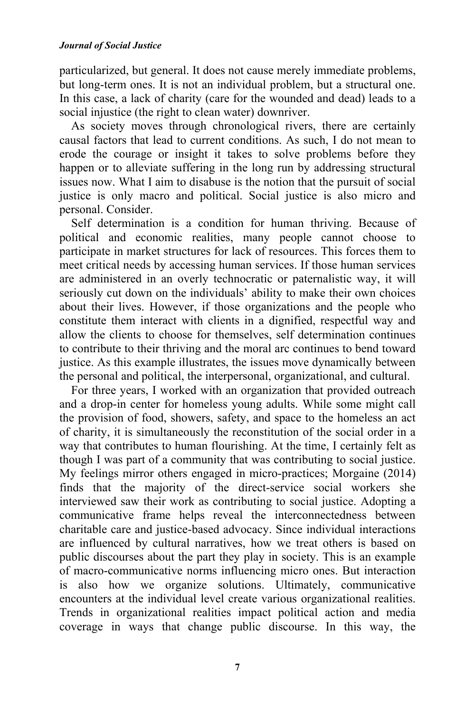particularized, but general. It does not cause merely immediate problems, but long-term ones. It is not an individual problem, but a structural one. In this case, a lack of charity (care for the wounded and dead) leads to a social injustice (the right to clean water) downriver.

As society moves through chronological rivers, there are certainly causal factors that lead to current conditions. As such, I do not mean to erode the courage or insight it takes to solve problems before they happen or to alleviate suffering in the long run by addressing structural issues now. What I aim to disabuse is the notion that the pursuit of social justice is only macro and political. Social justice is also micro and personal. Consider.

Self determination is a condition for human thriving. Because of political and economic realities, many people cannot choose to participate in market structures for lack of resources. This forces them to meet critical needs by accessing human services. If those human services are administered in an overly technocratic or paternalistic way, it will seriously cut down on the individuals' ability to make their own choices about their lives. However, if those organizations and the people who constitute them interact with clients in a dignified, respectful way and allow the clients to choose for themselves, self determination continues to contribute to their thriving and the moral arc continues to bend toward justice. As this example illustrates, the issues move dynamically between the personal and political, the interpersonal, organizational, and cultural.

For three years, I worked with an organization that provided outreach and a drop-in center for homeless young adults. While some might call the provision of food, showers, safety, and space to the homeless an act of charity, it is simultaneously the reconstitution of the social order in a way that contributes to human flourishing. At the time, I certainly felt as though I was part of a community that was contributing to social justice. My feelings mirror others engaged in micro-practices; Morgaine (2014) finds that the majority of the direct-service social workers she interviewed saw their work as contributing to social justice. Adopting a communicative frame helps reveal the interconnectedness between charitable care and justice-based advocacy. Since individual interactions are influenced by cultural narratives, how we treat others is based on public discourses about the part they play in society. This is an example of macro-communicative norms influencing micro ones. But interaction is also how we organize solutions. Ultimately, communicative encounters at the individual level create various organizational realities. Trends in organizational realities impact political action and media coverage in ways that change public discourse. In this way, the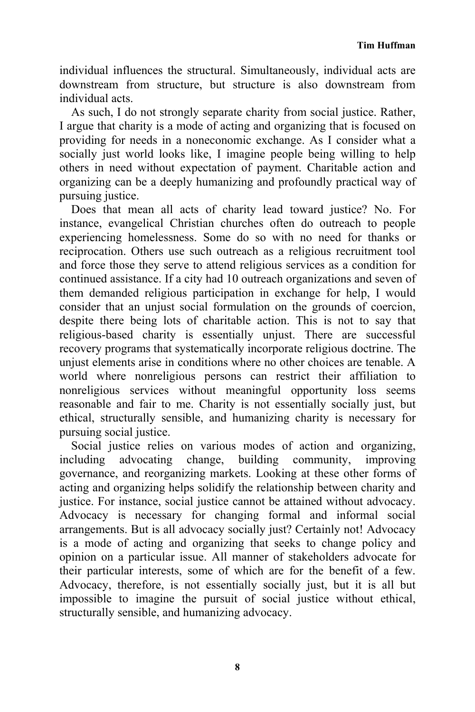individual influences the structural. Simultaneously, individual acts are downstream from structure, but structure is also downstream from individual acts.

As such, I do not strongly separate charity from social justice. Rather, I argue that charity is a mode of acting and organizing that is focused on providing for needs in a noneconomic exchange. As I consider what a socially just world looks like, I imagine people being willing to help others in need without expectation of payment. Charitable action and organizing can be a deeply humanizing and profoundly practical way of pursuing justice.

Does that mean all acts of charity lead toward justice? No. For instance, evangelical Christian churches often do outreach to people experiencing homelessness. Some do so with no need for thanks or reciprocation. Others use such outreach as a religious recruitment tool and force those they serve to attend religious services as a condition for continued assistance. If a city had 10 outreach organizations and seven of them demanded religious participation in exchange for help, I would consider that an unjust social formulation on the grounds of coercion, despite there being lots of charitable action. This is not to say that religious-based charity is essentially unjust. There are successful recovery programs that systematically incorporate religious doctrine. The unjust elements arise in conditions where no other choices are tenable. A world where nonreligious persons can restrict their affiliation to nonreligious services without meaningful opportunity loss seems reasonable and fair to me. Charity is not essentially socially just, but ethical, structurally sensible, and humanizing charity is necessary for pursuing social justice.

Social justice relies on various modes of action and organizing, including advocating change, building community, improving governance, and reorganizing markets. Looking at these other forms of acting and organizing helps solidify the relationship between charity and justice. For instance, social justice cannot be attained without advocacy. Advocacy is necessary for changing formal and informal social arrangements. But is all advocacy socially just? Certainly not! Advocacy is a mode of acting and organizing that seeks to change policy and opinion on a particular issue. All manner of stakeholders advocate for their particular interests, some of which are for the benefit of a few. Advocacy, therefore, is not essentially socially just, but it is all but impossible to imagine the pursuit of social justice without ethical, structurally sensible, and humanizing advocacy.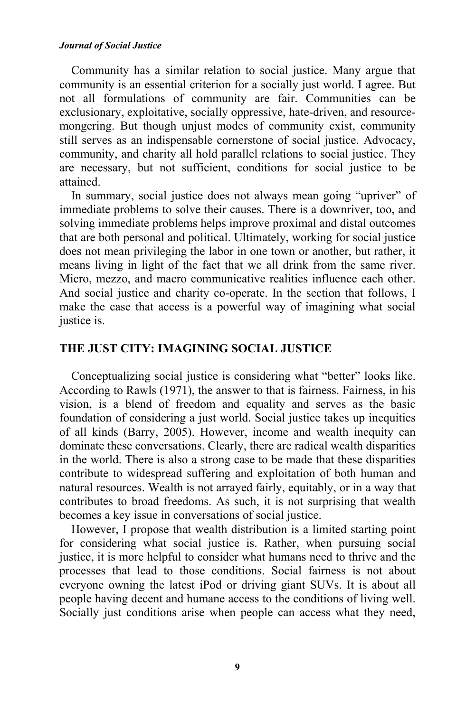#### *Journal of Social Justice*

Community has a similar relation to social justice. Many argue that community is an essential criterion for a socially just world. I agree. But not all formulations of community are fair. Communities can be exclusionary, exploitative, socially oppressive, hate-driven, and resourcemongering. But though unjust modes of community exist, community still serves as an indispensable cornerstone of social justice. Advocacy, community, and charity all hold parallel relations to social justice. They are necessary, but not sufficient, conditions for social justice to be attained.

In summary, social justice does not always mean going "upriver" of immediate problems to solve their causes. There is a downriver, too, and solving immediate problems helps improve proximal and distal outcomes that are both personal and political. Ultimately, working for social justice does not mean privileging the labor in one town or another, but rather, it means living in light of the fact that we all drink from the same river. Micro, mezzo, and macro communicative realities influence each other. And social justice and charity co-operate. In the section that follows, I make the case that access is a powerful way of imagining what social justice is.

### **THE JUST CITY: IMAGINING SOCIAL JUSTICE**

Conceptualizing social justice is considering what "better" looks like. According to Rawls (1971), the answer to that is fairness. Fairness, in his vision, is a blend of freedom and equality and serves as the basic foundation of considering a just world. Social justice takes up inequities of all kinds (Barry, 2005). However, income and wealth inequity can dominate these conversations. Clearly, there are radical wealth disparities in the world. There is also a strong case to be made that these disparities contribute to widespread suffering and exploitation of both human and natural resources. Wealth is not arrayed fairly, equitably, or in a way that contributes to broad freedoms. As such, it is not surprising that wealth becomes a key issue in conversations of social justice.

However, I propose that wealth distribution is a limited starting point for considering what social justice is. Rather, when pursuing social justice, it is more helpful to consider what humans need to thrive and the processes that lead to those conditions. Social fairness is not about everyone owning the latest iPod or driving giant SUVs. It is about all people having decent and humane access to the conditions of living well. Socially just conditions arise when people can access what they need,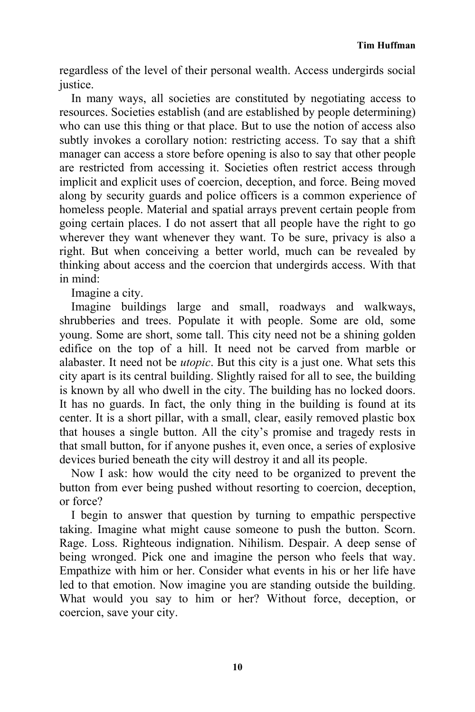regardless of the level of their personal wealth. Access undergirds social justice.

In many ways, all societies are constituted by negotiating access to resources. Societies establish (and are established by people determining) who can use this thing or that place. But to use the notion of access also subtly invokes a corollary notion: restricting access. To say that a shift manager can access a store before opening is also to say that other people are restricted from accessing it. Societies often restrict access through implicit and explicit uses of coercion, deception, and force. Being moved along by security guards and police officers is a common experience of homeless people. Material and spatial arrays prevent certain people from going certain places. I do not assert that all people have the right to go wherever they want whenever they want. To be sure, privacy is also a right. But when conceiving a better world, much can be revealed by thinking about access and the coercion that undergirds access. With that in mind:

Imagine a city.

Imagine buildings large and small, roadways and walkways, shrubberies and trees. Populate it with people. Some are old, some young. Some are short, some tall. This city need not be a shining golden edifice on the top of a hill. It need not be carved from marble or alabaster. It need not be *utopic*. But this city is a just one. What sets this city apart is its central building. Slightly raised for all to see, the building is known by all who dwell in the city. The building has no locked doors. It has no guards. In fact, the only thing in the building is found at its center. It is a short pillar, with a small, clear, easily removed plastic box that houses a single button. All the city's promise and tragedy rests in that small button, for if anyone pushes it, even once, a series of explosive devices buried beneath the city will destroy it and all its people.

Now I ask: how would the city need to be organized to prevent the button from ever being pushed without resorting to coercion, deception, or force?

I begin to answer that question by turning to empathic perspective taking. Imagine what might cause someone to push the button. Scorn. Rage. Loss. Righteous indignation. Nihilism. Despair. A deep sense of being wronged. Pick one and imagine the person who feels that way. Empathize with him or her. Consider what events in his or her life have led to that emotion. Now imagine you are standing outside the building. What would you say to him or her? Without force, deception, or coercion, save your city.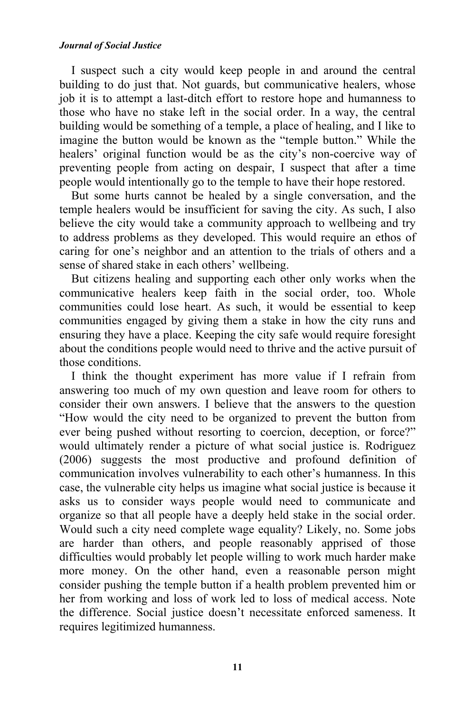#### *Journal of Social Justice*

I suspect such a city would keep people in and around the central building to do just that. Not guards, but communicative healers, whose job it is to attempt a last-ditch effort to restore hope and humanness to those who have no stake left in the social order. In a way, the central building would be something of a temple, a place of healing, and I like to imagine the button would be known as the "temple button." While the healers' original function would be as the city's non-coercive way of preventing people from acting on despair, I suspect that after a time people would intentionally go to the temple to have their hope restored.

But some hurts cannot be healed by a single conversation, and the temple healers would be insufficient for saving the city. As such, I also believe the city would take a community approach to wellbeing and try to address problems as they developed. This would require an ethos of caring for one's neighbor and an attention to the trials of others and a sense of shared stake in each others' wellbeing.

But citizens healing and supporting each other only works when the communicative healers keep faith in the social order, too. Whole communities could lose heart. As such, it would be essential to keep communities engaged by giving them a stake in how the city runs and ensuring they have a place. Keeping the city safe would require foresight about the conditions people would need to thrive and the active pursuit of those conditions.

I think the thought experiment has more value if I refrain from answering too much of my own question and leave room for others to consider their own answers. I believe that the answers to the question "How would the city need to be organized to prevent the button from ever being pushed without resorting to coercion, deception, or force?" would ultimately render a picture of what social justice is. Rodriguez (2006) suggests the most productive and profound definition of communication involves vulnerability to each other's humanness. In this case, the vulnerable city helps us imagine what social justice is because it asks us to consider ways people would need to communicate and organize so that all people have a deeply held stake in the social order. Would such a city need complete wage equality? Likely, no. Some jobs are harder than others, and people reasonably apprised of those difficulties would probably let people willing to work much harder make more money. On the other hand, even a reasonable person might consider pushing the temple button if a health problem prevented him or her from working and loss of work led to loss of medical access. Note the difference. Social justice doesn't necessitate enforced sameness. It requires legitimized humanness.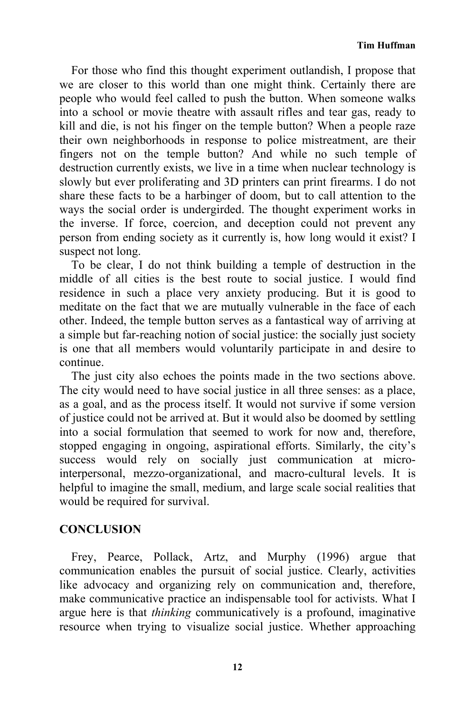For those who find this thought experiment outlandish, I propose that we are closer to this world than one might think. Certainly there are people who would feel called to push the button. When someone walks into a school or movie theatre with assault rifles and tear gas, ready to kill and die, is not his finger on the temple button? When a people raze their own neighborhoods in response to police mistreatment, are their fingers not on the temple button? And while no such temple of destruction currently exists, we live in a time when nuclear technology is slowly but ever proliferating and 3D printers can print firearms. I do not share these facts to be a harbinger of doom, but to call attention to the ways the social order is undergirded. The thought experiment works in the inverse. If force, coercion, and deception could not prevent any person from ending society as it currently is, how long would it exist? I suspect not long.

To be clear, I do not think building a temple of destruction in the middle of all cities is the best route to social justice. I would find residence in such a place very anxiety producing. But it is good to meditate on the fact that we are mutually vulnerable in the face of each other. Indeed, the temple button serves as a fantastical way of arriving at a simple but far-reaching notion of social justice: the socially just society is one that all members would voluntarily participate in and desire to continue.

The just city also echoes the points made in the two sections above. The city would need to have social justice in all three senses: as a place, as a goal, and as the process itself. It would not survive if some version of justice could not be arrived at. But it would also be doomed by settling into a social formulation that seemed to work for now and, therefore, stopped engaging in ongoing, aspirational efforts. Similarly, the city's success would rely on socially just communication at microinterpersonal, mezzo-organizational, and macro-cultural levels. It is helpful to imagine the small, medium, and large scale social realities that would be required for survival.

### **CONCLUSION**

Frey, Pearce, Pollack, Artz, and Murphy (1996) argue that communication enables the pursuit of social justice. Clearly, activities like advocacy and organizing rely on communication and, therefore, make communicative practice an indispensable tool for activists. What I argue here is that *thinking* communicatively is a profound, imaginative resource when trying to visualize social justice. Whether approaching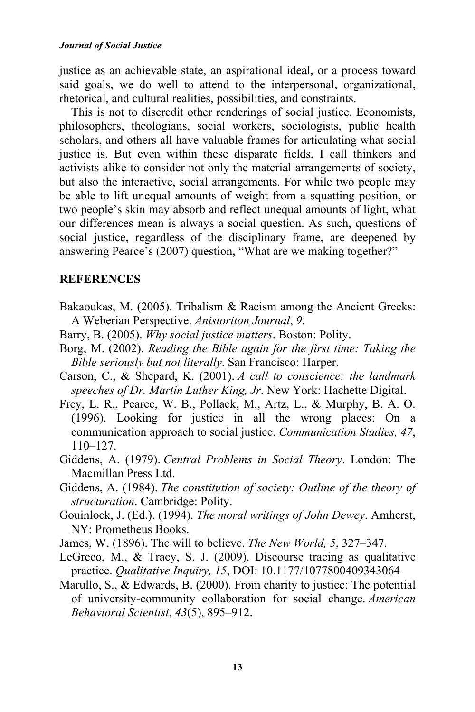justice as an achievable state, an aspirational ideal, or a process toward said goals, we do well to attend to the interpersonal, organizational, rhetorical, and cultural realities, possibilities, and constraints.

This is not to discredit other renderings of social justice. Economists, philosophers, theologians, social workers, sociologists, public health scholars, and others all have valuable frames for articulating what social justice is. But even within these disparate fields, I call thinkers and activists alike to consider not only the material arrangements of society, but also the interactive, social arrangements. For while two people may be able to lift unequal amounts of weight from a squatting position, or two people's skin may absorb and reflect unequal amounts of light, what our differences mean is always a social question. As such, questions of social justice, regardless of the disciplinary frame, are deepened by answering Pearce's (2007) question, "What are we making together?"

### **REFERENCES**

- Bakaoukas, M. (2005). Tribalism & Racism among the Ancient Greeks: A Weberian Perspective. *Anistoriton Journal*, *9*.
- Barry, B. (2005). *Why social justice matters*. Boston: Polity.
- Borg, M. (2002). *Reading the Bible again for the first time: Taking the Bible seriously but not literally*. San Francisco: Harper.
- Carson, C., & Shepard, K. (2001). *A call to conscience: the landmark speeches of Dr. Martin Luther King, Jr*. New York: Hachette Digital.
- Frey, L. R., Pearce, W. B., Pollack, M., Artz, L., & Murphy, B. A. O. (1996). Looking for justice in all the wrong places: On a communication approach to social justice. *Communication Studies, 47*, 110–127.
- Giddens, A. (1979). *Central Problems in Social Theory*. London: The Macmillan Press Ltd.
- Giddens, A. (1984). *The constitution of society: Outline of the theory of structuration*. Cambridge: Polity.
- Gouinlock, J. (Ed.). (1994). *The moral writings of John Dewey*. Amherst, NY: Prometheus Books.
- James, W. (1896). The will to believe. *The New World, 5*, 327–347.
- LeGreco, M., & Tracy, S. J. (2009). Discourse tracing as qualitative practice. *Qualitative Inquiry, 15*, DOI: 10.1177/1077800409343064
- Marullo, S., & Edwards, B. (2000). From charity to justice: The potential of university-community collaboration for social change. *American Behavioral Scientist*, *43*(5), 895‒912.